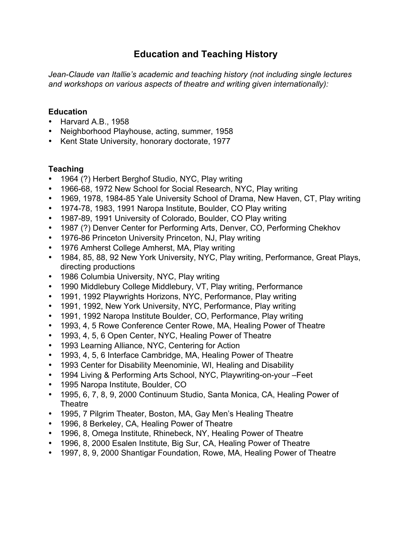# **Education and Teaching History**

*Jean-Claude van Itallie's academic and teaching history (not including single lectures and workshops on various aspects of theatre and writing given internationally):*

## **Education**

- Harvard A.B., 1958
- Neighborhood Playhouse, acting, summer, 1958
- Kent State University, honorary doctorate, 1977

## **Teaching**

- 1964 (?) Herbert Berghof Studio, NYC, Play writing
- 1966-68, 1972 New School for Social Research, NYC, Play writing
- 1969, 1978, 1984-85 Yale University School of Drama, New Haven, CT, Play writing
- 1974-78, 1983, 1991 Naropa Institute, Boulder, CO Play writing
- 1987-89, 1991 University of Colorado, Boulder, CO Play writing
- 1987 (?) Denver Center for Performing Arts, Denver, CO, Performing Chekhov
- 1976-86 Princeton University Princeton, NJ, Play writing
- 1976 Amherst College Amherst, MA, Play writing
- 1984, 85, 88, 92 New York University, NYC, Play writing, Performance, Great Plays, directing productions
- 1986 Columbia University, NYC, Play writing
- 1990 Middlebury College Middlebury, VT, Play writing, Performance
- 1991, 1992 Playwrights Horizons, NYC, Performance, Play writing
- 1991, 1992, New York University, NYC, Performance, Play writing
- 1991, 1992 Naropa Institute Boulder, CO, Performance, Play writing
- 1993, 4, 5 Rowe Conference Center Rowe, MA, Healing Power of Theatre
- 1993, 4, 5, 6 Open Center, NYC, Healing Power of Theatre
- 1993 Learning Alliance, NYC, Centering for Action
- 1993, 4, 5, 6 Interface Cambridge, MA, Healing Power of Theatre
- 1993 Center for Disability Meenominie, WI, Healing and Disability
- 1994 Living & Performing Arts School, NYC, Playwriting-on-your –Feet
- 1995 Naropa Institute, Boulder, CO
- 1995, 6, 7, 8, 9, 2000 Continuum Studio, Santa Monica, CA, Healing Power of **Theatre**
- 1995, 7 Pilgrim Theater, Boston, MA, Gay Men's Healing Theatre
- 1996, 8 Berkeley, CA, Healing Power of Theatre
- 1996, 8, Omega Institute, Rhinebeck, NY, Healing Power of Theatre
- 1996, 8, 2000 Esalen Institute, Big Sur, CA, Healing Power of Theatre
- 1997, 8, 9, 2000 Shantigar Foundation, Rowe, MA, Healing Power of Theatre